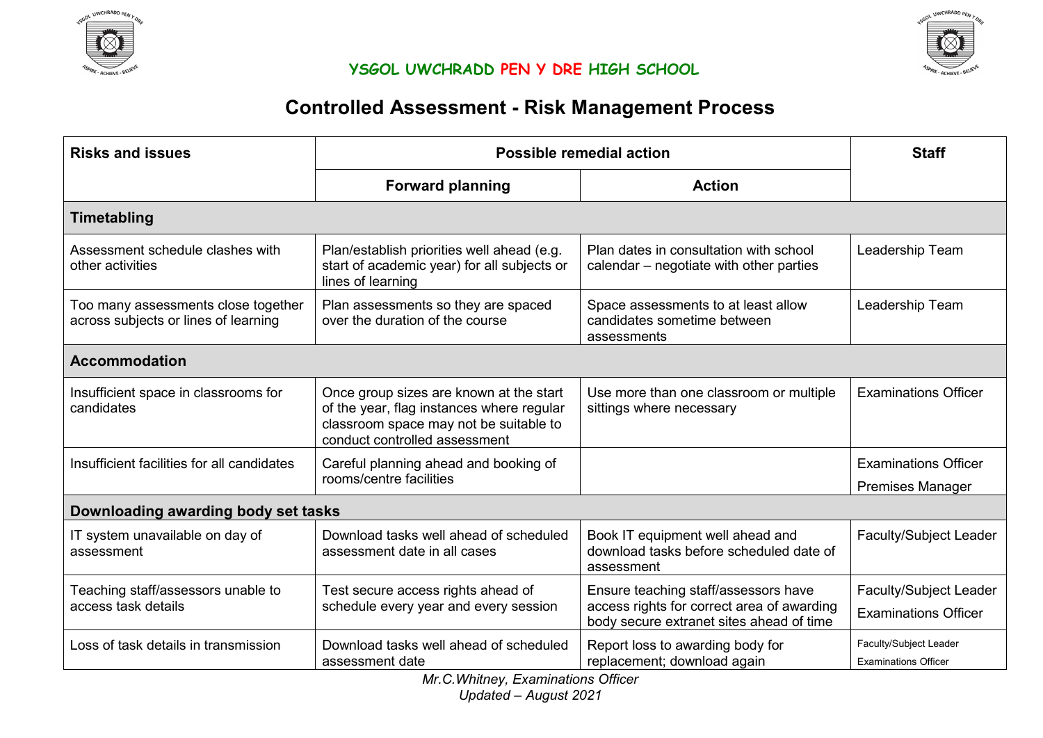



# **Controlled Assessment - Risk Management Process**

| <b>Risks and issues</b>                                                     | Possible remedial action                                                                                                                                        | <b>Staff</b>                                                                                                                   |                                                              |  |  |
|-----------------------------------------------------------------------------|-----------------------------------------------------------------------------------------------------------------------------------------------------------------|--------------------------------------------------------------------------------------------------------------------------------|--------------------------------------------------------------|--|--|
|                                                                             | <b>Forward planning</b>                                                                                                                                         | <b>Action</b>                                                                                                                  |                                                              |  |  |
| <b>Timetabling</b>                                                          |                                                                                                                                                                 |                                                                                                                                |                                                              |  |  |
| Assessment schedule clashes with<br>other activities                        | Plan/establish priorities well ahead (e.g.<br>start of academic year) for all subjects or<br>lines of learning                                                  | Plan dates in consultation with school<br>calendar – negotiate with other parties                                              | Leadership Team                                              |  |  |
| Too many assessments close together<br>across subjects or lines of learning | Plan assessments so they are spaced<br>over the duration of the course                                                                                          | Space assessments to at least allow<br>candidates sometime between<br>assessments                                              | Leadership Team                                              |  |  |
| <b>Accommodation</b>                                                        |                                                                                                                                                                 |                                                                                                                                |                                                              |  |  |
| Insufficient space in classrooms for<br>candidates                          | Once group sizes are known at the start<br>of the year, flag instances where regular<br>classroom space may not be suitable to<br>conduct controlled assessment | Use more than one classroom or multiple<br>sittings where necessary                                                            | <b>Examinations Officer</b>                                  |  |  |
| Insufficient facilities for all candidates                                  | Careful planning ahead and booking of<br>rooms/centre facilities                                                                                                |                                                                                                                                | <b>Examinations Officer</b><br><b>Premises Manager</b>       |  |  |
| Downloading awarding body set tasks                                         |                                                                                                                                                                 |                                                                                                                                |                                                              |  |  |
| IT system unavailable on day of<br>assessment                               | Download tasks well ahead of scheduled<br>assessment date in all cases                                                                                          | Book IT equipment well ahead and<br>download tasks before scheduled date of<br>assessment                                      | Faculty/Subject Leader                                       |  |  |
| Teaching staff/assessors unable to<br>access task details                   | Test secure access rights ahead of<br>schedule every year and every session                                                                                     | Ensure teaching staff/assessors have<br>access rights for correct area of awarding<br>body secure extranet sites ahead of time | <b>Faculty/Subject Leader</b><br><b>Examinations Officer</b> |  |  |
| Loss of task details in transmission                                        | Download tasks well ahead of scheduled<br>assessment date                                                                                                       | Report loss to awarding body for<br>replacement; download again                                                                | Faculty/Subject Leader<br><b>Examinations Officer</b>        |  |  |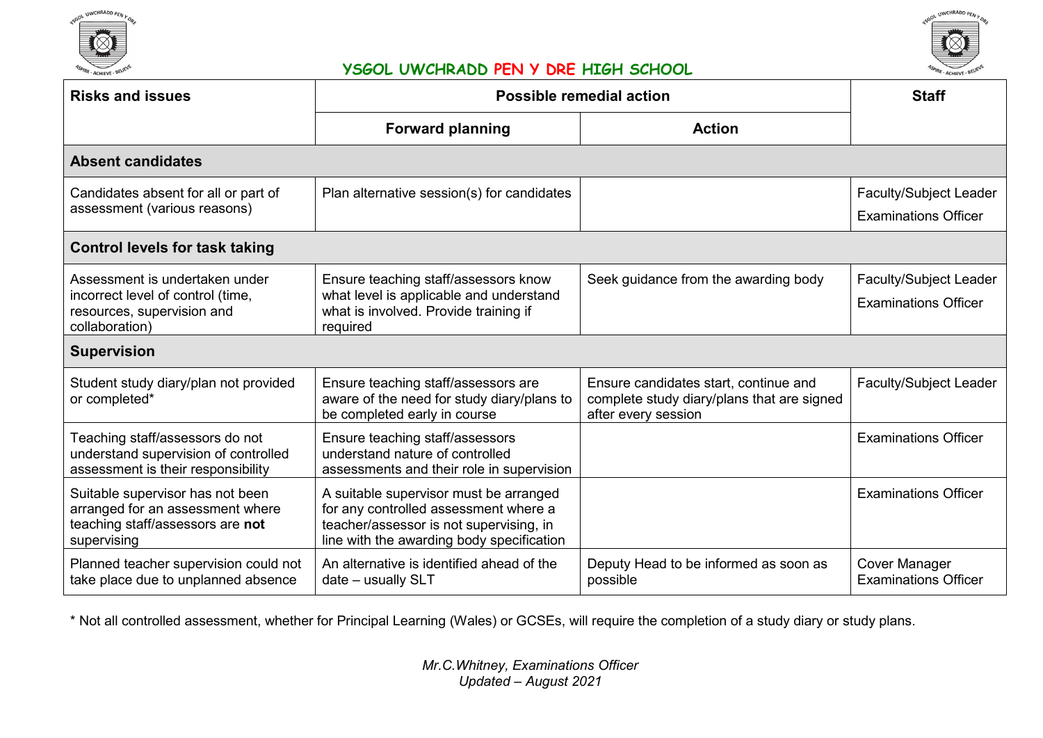



| <b>Risks and issues</b>                                                                                                 | Possible remedial action                                                                                                                                                | <b>Staff</b>                                                                                               |                                                              |  |  |
|-------------------------------------------------------------------------------------------------------------------------|-------------------------------------------------------------------------------------------------------------------------------------------------------------------------|------------------------------------------------------------------------------------------------------------|--------------------------------------------------------------|--|--|
|                                                                                                                         | <b>Forward planning</b>                                                                                                                                                 | <b>Action</b>                                                                                              |                                                              |  |  |
| <b>Absent candidates</b>                                                                                                |                                                                                                                                                                         |                                                                                                            |                                                              |  |  |
| Candidates absent for all or part of<br>assessment (various reasons)                                                    | Plan alternative session(s) for candidates                                                                                                                              |                                                                                                            | Faculty/Subject Leader<br><b>Examinations Officer</b>        |  |  |
| <b>Control levels for task taking</b>                                                                                   |                                                                                                                                                                         |                                                                                                            |                                                              |  |  |
| Assessment is undertaken under<br>incorrect level of control (time,<br>resources, supervision and<br>collaboration)     | Ensure teaching staff/assessors know<br>what level is applicable and understand<br>what is involved. Provide training if<br>required                                    | Seek guidance from the awarding body                                                                       | <b>Faculty/Subject Leader</b><br><b>Examinations Officer</b> |  |  |
| <b>Supervision</b>                                                                                                      |                                                                                                                                                                         |                                                                                                            |                                                              |  |  |
| Student study diary/plan not provided<br>or completed*                                                                  | Ensure teaching staff/assessors are<br>aware of the need for study diary/plans to<br>be completed early in course                                                       | Ensure candidates start, continue and<br>complete study diary/plans that are signed<br>after every session | Faculty/Subject Leader                                       |  |  |
| Teaching staff/assessors do not<br>understand supervision of controlled<br>assessment is their responsibility           | Ensure teaching staff/assessors<br>understand nature of controlled<br>assessments and their role in supervision                                                         |                                                                                                            | <b>Examinations Officer</b>                                  |  |  |
| Suitable supervisor has not been<br>arranged for an assessment where<br>teaching staff/assessors are not<br>supervising | A suitable supervisor must be arranged<br>for any controlled assessment where a<br>teacher/assessor is not supervising, in<br>line with the awarding body specification |                                                                                                            | <b>Examinations Officer</b>                                  |  |  |
| Planned teacher supervision could not<br>take place due to unplanned absence                                            | An alternative is identified ahead of the<br>date - usually SLT                                                                                                         | Deputy Head to be informed as soon as<br>possible                                                          | <b>Cover Manager</b><br><b>Examinations Officer</b>          |  |  |

\* Not all controlled assessment, whether for Principal Learning (Wales) or GCSEs, will require the completion of a study diary or study plans.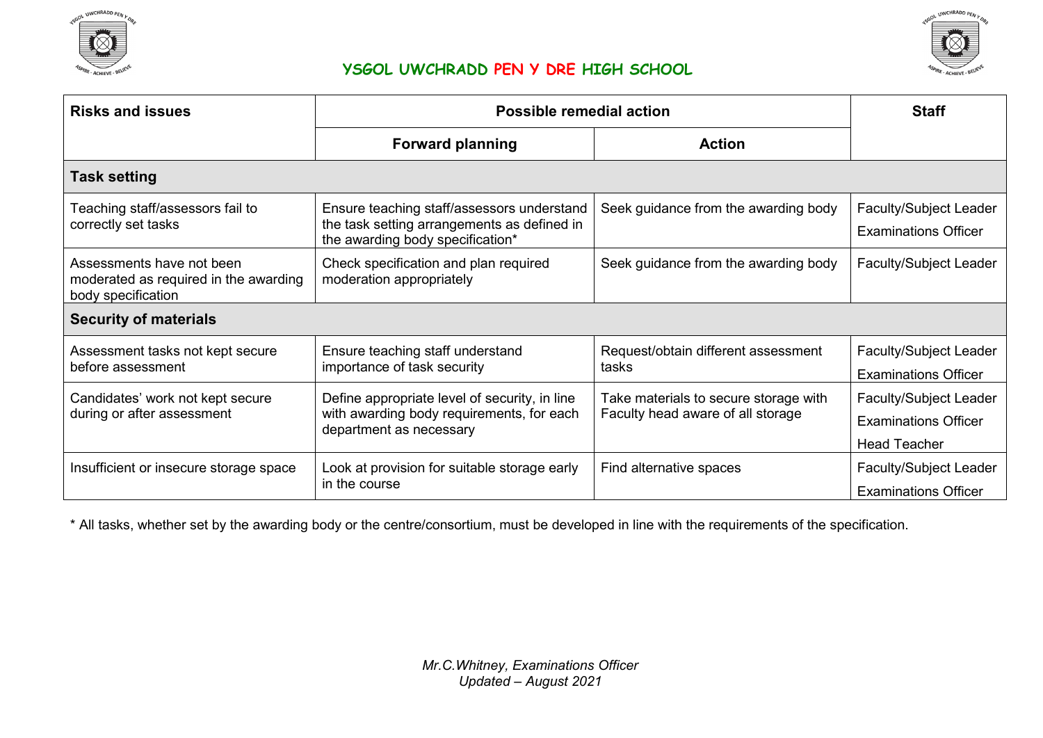



| <b>Risks and issues</b>                                                                  | <b>Possible remedial action</b>                                                                                               | <b>Staff</b>                                                               |                                                                                     |  |  |
|------------------------------------------------------------------------------------------|-------------------------------------------------------------------------------------------------------------------------------|----------------------------------------------------------------------------|-------------------------------------------------------------------------------------|--|--|
|                                                                                          | <b>Forward planning</b>                                                                                                       | <b>Action</b>                                                              |                                                                                     |  |  |
| <b>Task setting</b>                                                                      |                                                                                                                               |                                                                            |                                                                                     |  |  |
| Teaching staff/assessors fail to<br>correctly set tasks                                  | Ensure teaching staff/assessors understand<br>the task setting arrangements as defined in<br>the awarding body specification* | Seek guidance from the awarding body                                       | <b>Faculty/Subject Leader</b><br><b>Examinations Officer</b>                        |  |  |
| Assessments have not been<br>moderated as required in the awarding<br>body specification | Check specification and plan required<br>moderation appropriately                                                             | Seek guidance from the awarding body                                       | Faculty/Subject Leader                                                              |  |  |
| <b>Security of materials</b>                                                             |                                                                                                                               |                                                                            |                                                                                     |  |  |
| Assessment tasks not kept secure<br>before assessment                                    | Ensure teaching staff understand<br>importance of task security                                                               | Request/obtain different assessment<br>tasks                               | <b>Faculty/Subject Leader</b><br><b>Examinations Officer</b>                        |  |  |
| Candidates' work not kept secure<br>during or after assessment                           | Define appropriate level of security, in line<br>with awarding body requirements, for each<br>department as necessary         | Take materials to secure storage with<br>Faculty head aware of all storage | <b>Faculty/Subject Leader</b><br><b>Examinations Officer</b><br><b>Head Teacher</b> |  |  |
| Insufficient or insecure storage space                                                   | Look at provision for suitable storage early<br>in the course                                                                 | Find alternative spaces                                                    | Faculty/Subject Leader<br><b>Examinations Officer</b>                               |  |  |

\* All tasks, whether set by the awarding body or the centre/consortium, must be developed in line with the requirements of the specification.